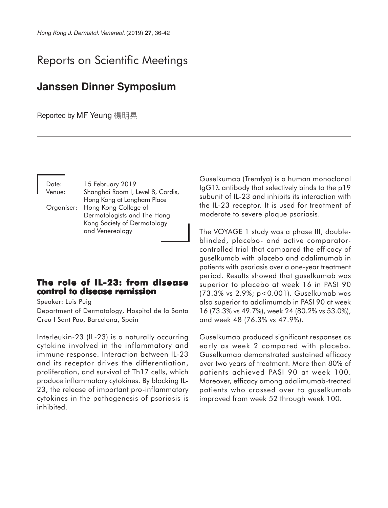## Reports on Scientific Meetings

## **Janssen Dinner Symposium**

Reported by MF Yeung 楊明晃

| Date:      | 15 February 2019                  |
|------------|-----------------------------------|
| Venue:     | Shanghai Room I, Level 8, Cordis, |
|            | Hong Kong at Langham Place        |
| Organiser: | Hong Kong College of              |
|            | Dermatologists and The Hong       |
|            | Kong Society of Dermatology       |
|            | and Venereology                   |

## **The role of IL-23: from disease control to disease remission**

Speaker: Luis Puig

Department of Dermatology, Hospital de la Santa Creu I Sant Pau, Barcelona, Spain

Interleukin-23 (IL-23) is a naturally occurring cytokine involved in the inflammatory and immune response. Interaction between IL-23 and its receptor drives the differentiation, proliferation, and survival of Th17 cells, which produce inflammatory cytokines. By blocking IL-23, the release of important pro-inflammatory cytokines in the pathogenesis of psoriasis is inhibited.

Guselkumab (Tremfya) is a human monoclonal IgG1λ antibody that selectively binds to the p19 subunit of IL-23 and inhibits its interaction with the IL-23 receptor. It is used for treatment of moderate to severe plaque psoriasis.

The VOYAGE 1 study was a phase III, doubleblinded, placebo- and active comparatorcontrolled trial that compared the efficacy of guselkumab with placebo and adalimumab in patients with psoriasis over a one-year treatment period. Results showed that guselkumab was superior to placebo at week 16 in PASI 90 (73.3% vs 2.9%; p<0.001). Guselkumab was also superior to adalimumab in PASI 90 at week 16 (73.3% vs 49.7%), week 24 (80.2% vs 53.0%), and week 48 (76.3% vs 47.9%).

Guselkumab produced significant responses as early as week 2 compared with placebo. Guselkumab demonstrated sustained efficacy over two years of treatment. More than 80% of patients achieved PASI 90 at week 100. Moreover, efficacy among adalimumab-treated patients who crossed over to guselkumab improved from week 52 through week 100.